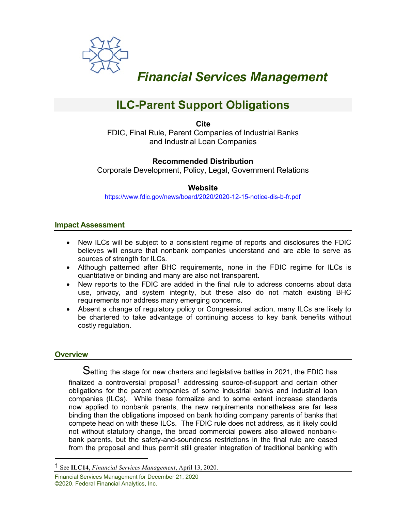

# *Financial Services Management*

# **ILC-Parent Support Obligations**

**Cite**

FDIC, Final Rule, Parent Companies of Industrial Banks and Industrial Loan Companies

# **Recommended Distribution**

Corporate Development, Policy, Legal, Government Relations

# **Website**

<https://www.fdic.gov/news/board/2020/2020-12-15-notice-dis-b-fr.pdf>

## **Impact Assessment**

- New ILCs will be subject to a consistent regime of reports and disclosures the FDIC believes will ensure that nonbank companies understand and are able to serve as sources of strength for ILCs.
- Although patterned after BHC requirements, none in the FDIC regime for ILCs is quantitative or binding and many are also not transparent.
- New reports to the FDIC are added in the final rule to address concerns about data use, privacy, and system integrity, but these also do not match existing BHC requirements nor address many emerging concerns.
- Absent a change of regulatory policy or Congressional action, many ILCs are likely to be chartered to take advantage of continuing access to key bank benefits without costly regulation.

## **Overview**

Setting the stage for new charters and legislative battles in 2021, the FDIC has finalized a controversial proposal<sup>[1](#page-0-0)</sup> addressing source-of-support and certain other obligations for the parent companies of some industrial banks and industrial loan companies (ILCs). While these formalize and to some extent increase standards now applied to nonbank parents, the new requirements nonetheless are far less binding than the obligations imposed on bank holding company parents of banks that compete head on with these ILCs. The FDIC rule does not address, as it likely could not without statutory change, the broad commercial powers also allowed nonbankbank parents, but the safety-and-soundness restrictions in the final rule are eased from the proposal and thus permit still greater integration of traditional banking with

<span id="page-0-0"></span><sup>1</sup> See **ILC14**, *Financial Services Management*, April 13, 2020.

Financial Services Management for December 21, 2020 ©2020. Federal Financial Analytics, Inc.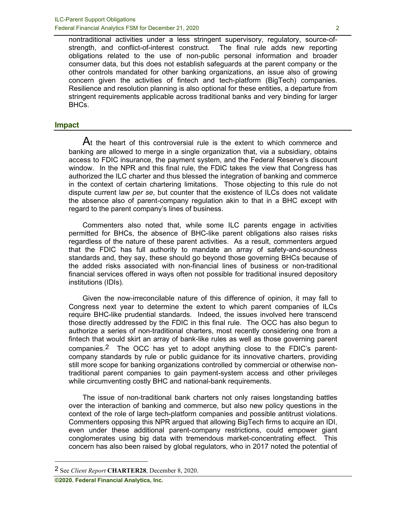nontraditional activities under a less stringent supervisory, regulatory, source-ofstrength, and conflict-of-interest construct. The final rule adds new reporting obligations related to the use of non-public personal information and broader consumer data, but this does not establish safeguards at the parent company or the other controls mandated for other banking organizations, an issue also of growing concern given the activities of fintech and tech-platform (BigTech) companies. Resilience and resolution planning is also optional for these entities, a departure from stringent requirements applicable across traditional banks and very binding for larger BHCs.

#### **Impact**

At the heart of this controversial rule is the extent to which commerce and banking are allowed to merge in a single organization that, via a subsidiary, obtains access to FDIC insurance, the payment system, and the Federal Reserve's discount window. In the NPR and this final rule, the FDIC takes the view that Congress has authorized the ILC charter and thus blessed the integration of banking and commerce in the context of certain chartering limitations. Those objecting to this rule do not dispute current law *per se*, but counter that the existence of ILCs does not validate the absence also of parent-company regulation akin to that in a BHC except with regard to the parent company's lines of business.

Commenters also noted that, while some ILC parents engage in activities permitted for BHCs, the absence of BHC-like parent obligations also raises risks regardless of the nature of these parent activities. As a result, commenters argued that the FDIC has full authority to mandate an array of safety-and-soundness standards and, they say, these should go beyond those governing BHCs because of the added risks associated with non-financial lines of business or non-traditional financial services offered in ways often not possible for traditional insured depository institutions (IDIs).

Given the now-irreconcilable nature of this difference of opinion, it may fall to Congress next year to determine the extent to which parent companies of ILCs require BHC-like prudential standards. Indeed, the issues involved here transcend those directly addressed by the FDIC in this final rule. The OCC has also begun to authorize a series of non-traditional charters, most recently considering one from a fintech that would skirt an array of bank-like rules as well as those governing parent companies.[2](#page-1-0) The OCC has yet to adopt anything close to the FDIC's parentcompany standards by rule or public guidance for its innovative charters, providing still more scope for banking organizations controlled by commercial or otherwise nontraditional parent companies to gain payment-system access and other privileges while circumventing costly BHC and national-bank requirements.

The issue of non-traditional bank charters not only raises longstanding battles over the interaction of banking and commerce, but also new policy questions in the context of the role of large tech-platform companies and possible antitrust violations. Commenters opposing this NPR argued that allowing BigTech firms to acquire an IDI, even under these additional parent-company restrictions, could empower giant conglomerates using big data with tremendous market-concentrating effect. This concern has also been raised by global regulators, who in 2017 noted the potential of

<span id="page-1-0"></span><sup>2</sup> See *Client Report* **CHARTER28**, December 8, 2020.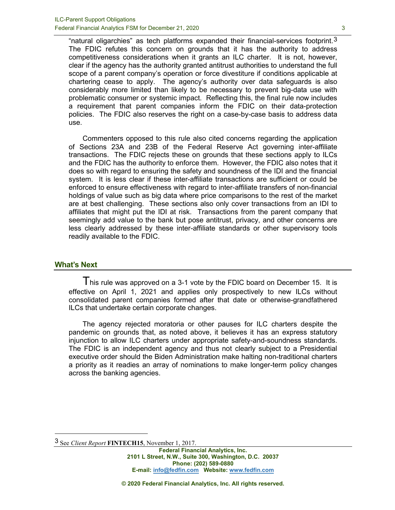"natural oligarchies" as tech platforms expanded their financial-services footprint. $3$ The FDIC refutes this concern on grounds that it has the authority to address competitiveness considerations when it grants an ILC charter. It is not, however, clear if the agency has the authority granted antitrust authorities to understand the full scope of a parent company's operation or force divestiture if conditions applicable at chartering cease to apply. The agency's authority over data safeguards is also considerably more limited than likely to be necessary to prevent big-data use with problematic consumer or systemic impact. Reflecting this, the final rule now includes a requirement that parent companies inform the FDIC on their data-protection policies. The FDIC also reserves the right on a case-by-case basis to address data use.

Commenters opposed to this rule also cited concerns regarding the application of Sections 23A and 23B of the Federal Reserve Act governing inter-affiliate transactions. The FDIC rejects these on grounds that these sections apply to ILCs and the FDIC has the authority to enforce them. However, the FDIC also notes that it does so with regard to ensuring the safety and soundness of the IDI and the financial system. It is less clear if these inter-affiliate transactions are sufficient or could be enforced to ensure effectiveness with regard to inter-affiliate transfers of non-financial holdings of value such as big data where price comparisons to the rest of the market are at best challenging. These sections also only cover transactions from an IDI to affiliates that might put the IDI at risk. Transactions from the parent company that seemingly add value to the bank but pose antitrust, privacy, and other concerns are less clearly addressed by these inter-affiliate standards or other supervisory tools readily available to the FDIC.

#### **What's Next**

I his rule was approved on a 3-1 vote by the FDIC board on December 15. It is effective on April 1, 2021 and applies only prospectively to new ILCs without consolidated parent companies formed after that date or otherwise-grandfathered ILCs that undertake certain corporate changes.

The agency rejected moratoria or other pauses for ILC charters despite the pandemic on grounds that, as noted above, it believes it has an express statutory injunction to allow ILC charters under appropriate safety-and-soundness standards. The FDIC is an independent agency and thus not clearly subject to a Presidential executive order should the Biden Administration make halting non-traditional charters a priority as it readies an array of nominations to make longer-term policy changes across the banking agencies.

<span id="page-2-0"></span><sup>3</sup> See *Client Report* **FINTECH15**, November 1, 2017.